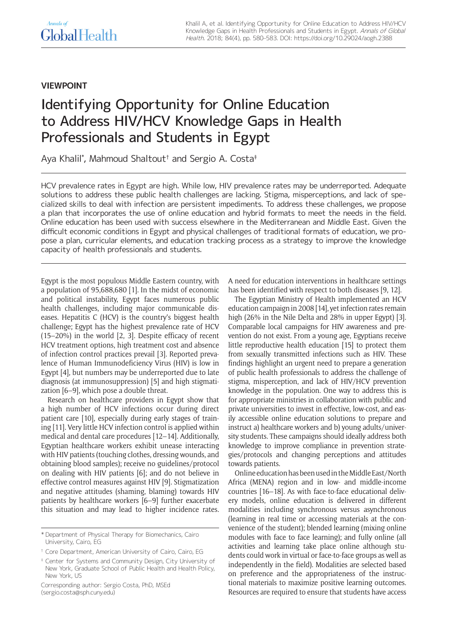## Annals of **GlobalHealth**

### **VIEWPOINT**

# Identifying Opportunity for Online Education to Address HIV/HCV Knowledge Gaps in Health Professionals and Students in Egypt

Aya Khalil\* , Mahmoud Shaltout† and Sergio A. Costa‡

HCV prevalence rates in Egypt are high. While low, HIV prevalence rates may be underreported. Adequate solutions to address these public health challenges are lacking. Stigma, misperceptions, and lack of specialized skills to deal with infection are persistent impediments. To address these challenges, we propose a plan that incorporates the use of online education and hybrid formats to meet the needs in the field. Online education has been used with success elsewhere in the Mediterranean and Middle East. Given the difficult economic conditions in Egypt and physical challenges of traditional formats of education, we propose a plan, curricular elements, and education tracking process as a strategy to improve the knowledge capacity of health professionals and students.

Egypt is the most populous Middle Eastern country, with a population of 95,688,680 [1]. In the midst of economic and political instability, Egypt faces numerous public health challenges, including major communicable diseases. Hepatitis C (HCV) is the country's biggest health challenge; Egypt has the highest prevalence rate of HCV (15–20%) in the world [2, 3]. Despite efficacy of recent HCV treatment options, high treatment cost and absence of infection control practices prevail [3]. Reported prevalence of Human Immunodeficiency Virus (HIV) is low in Egypt [4], but numbers may be underreported due to late diagnosis (at immunosuppression) [5] and high stigmatization [6–9], which pose a double threat.

Research on healthcare providers in Egypt show that a high number of HCV infections occur during direct patient care [10], especially during early stages of training [11]. Very little HCV infection control is applied within medical and dental care procedures [12–14]. Additionally, Egyptian healthcare workers exhibit unease interacting with HIV patients (touching clothes, dressing wounds, and obtaining blood samples); receive no guidelines/protocol on dealing with HIV patients [6]; and do not believe in effective control measures against HIV [9]. Stigmatization and negative attitudes (shaming, blaming) towards HIV patients by healthcare workers [6–9] further exacerbate this situation and may lead to higher incidence rates.

A need for education interventions in healthcare settings has been identified with respect to both diseases [9, 12].

The Egyptian Ministry of Health implemented an HCV education campaign in 2008 [14], yet infection rates remain high (26% in the Nile Delta and 28% in upper Egypt) [3]. Comparable local campaigns for HIV awareness and prevention do not exist. From a young age, Egyptians receive little reproductive health education [15] to protect them from sexually transmitted infections such as HIV. These findings highlight an urgent need to prepare a generation of public health professionals to address the challenge of stigma, misperception, and lack of HIV/HCV prevention knowledge in the population. One way to address this is for appropriate ministries in collaboration with public and private universities to invest in effective, low-cost, and easily accessible online education solutions to prepare and instruct a) healthcare workers and b) young adults/university students. These campaigns should ideally address both knowledge to improve compliance in prevention strategies/protocols and changing perceptions and attitudes towards patients.

Online education has been used in the Middle East/North Africa (MENA) region and in low- and middle-income countries [16–18]. As with face-to-face educational delivery models, online education is delivered in different modalities including synchronous versus asynchronous (learning in real time or accessing materials at the convenience of the student); blended learning (mixing online modules with face to face learning); and fully online (all activities and learning take place online although students could work in virtual or face-to-face groups as well as independently in the field). Modalities are selected based on preference and the appropriateness of the instructional materials to maximize positive learning outcomes. Resources are required to ensure that students have access

<sup>\*</sup> Department of Physical Therapy for Biomechanics, Cairo University, Cairo, EG

<sup>†</sup> Core Department, American University of Cairo, Cairo, EG

<sup>‡</sup> Center for Systems and Community Design, City University of New York, Graduate School of Public Health and Health Policy, New York, US

Corresponding author: Sergio Costa, PhD, MSEd [\(sergio.costa@sph.cuny.edu](mailto:sergio.costa@sph.cuny.edu))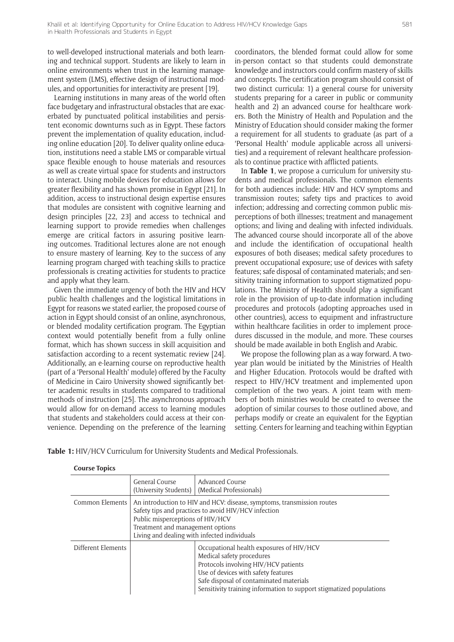to well-developed instructional materials and both learning and technical support. Students are likely to learn in online environments when trust in the learning management system (LMS), effective design of instructional modules, and opportunities for interactivity are present [19].

Learning institutions in many areas of the world often face budgetary and infrastructural obstacles that are exacerbated by punctuated political instabilities and persistent economic downturns such as in Egypt. These factors prevent the implementation of quality education, including online education [20]. To deliver quality online education, institutions need a stable LMS or comparable virtual space flexible enough to house materials and resources as well as create virtual space for students and instructors to interact. Using mobile devices for education allows for greater flexibility and has shown promise in Egypt [21]. In addition, access to instructional design expertise ensures that modules are consistent with cognitive learning and design principles [22, 23] and access to technical and learning support to provide remedies when challenges emerge are critical factors in assuring positive learning outcomes. Traditional lectures alone are not enough to ensure mastery of learning. Key to the success of any learning program charged with teaching skills to practice professionals is creating activities for students to practice and apply what they learn.

Given the immediate urgency of both the HIV and HCV public health challenges and the logistical limitations in Egypt for reasons we stated earlier, the proposed course of action in Egypt should consist of an online, asynchronous, or blended modality certification program. The Egyptian context would potentially benefit from a fully online format, which has shown success in skill acquisition and satisfaction according to a recent systematic review [24]. Additionally, an e-learning course on reproductive health (part of a 'Personal Health' module) offered by the Faculty of Medicine in Cairo University showed significantly better academic results in students compared to traditional methods of instruction [25]. The asynchronous approach would allow for on-demand access to learning modules that students and stakeholders could access at their convenience. Depending on the preference of the learning coordinators, the blended format could allow for some in-person contact so that students could demonstrate knowledge and instructors could confirm mastery of skills and concepts. The certification program should consist of two distinct curricula: 1) a general course for university students preparing for a career in public or community health and 2) an advanced course for healthcare workers. Both the Ministry of Health and Population and the Ministry of Education should consider making the former a requirement for all students to graduate (as part of a 'Personal Health' module applicable across all universities) and a requirement of relevant healthcare professionals to continue practice with afflicted patients.

In **Table 1**, we propose a curriculum for university students and medical professionals. The common elements for both audiences include: HIV and HCV symptoms and transmission routes; safety tips and practices to avoid infection; addressing and correcting common public misperceptions of both illnesses; treatment and management options; and living and dealing with infected individuals. The advanced course should incorporate all of the above and include the identification of occupational health exposures of both diseases; medical safety procedures to prevent occupational exposure; use of devices with safety features; safe disposal of contaminated materials; and sensitivity training information to support stigmatized populations. The Ministry of Health should play a significant role in the provision of up-to-date information including procedures and protocols (adopting approaches used in other countries), access to equipment and infrastructure within healthcare facilities in order to implement procedures discussed in the module, and more. These courses should be made available in both English and Arabic.

We propose the following plan as a way forward. A twoyear plan would be initiated by the Ministries of Health and Higher Education. Protocols would be drafted with respect to HIV/HCV treatment and implemented upon completion of the two years. A joint team with members of both ministries would be created to oversee the adoption of similar courses to those outlined above, and perhaps modify or create an equivalent for the Egyptian setting. Centers for learning and teaching within Egyptian

**Table 1:** HIV/HCV Curriculum for University Students and Medical Professionals.

| <b>Course Topics</b> |  |
|----------------------|--|
|----------------------|--|

|                    | General Course<br>(University Students)                                                                                                                                                                                                                | Advanced Course<br>(Medical Professionals)                                                                                                                                                                                                                             |
|--------------------|--------------------------------------------------------------------------------------------------------------------------------------------------------------------------------------------------------------------------------------------------------|------------------------------------------------------------------------------------------------------------------------------------------------------------------------------------------------------------------------------------------------------------------------|
| Common Elements    | An introduction to HIV and HCV: disease, symptoms, transmission routes<br>Safety tips and practices to avoid HIV/HCV infection<br>Public misperceptions of HIV/HCV<br>Treatment and management options<br>Living and dealing with infected individuals |                                                                                                                                                                                                                                                                        |
| Different Elements |                                                                                                                                                                                                                                                        | Occupational health exposures of HIV/HCV<br>Medical safety procedures<br>Protocols involving HIV/HCV patients<br>Use of devices with safety features<br>Safe disposal of contaminated materials<br>Sensitivity training information to support stigmatized populations |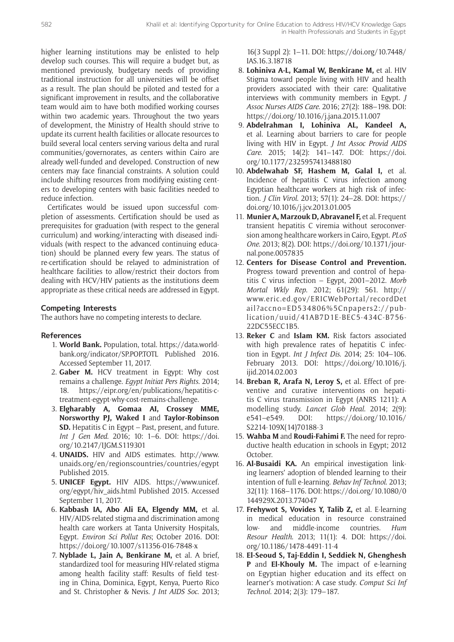higher learning institutions may be enlisted to help develop such courses. This will require a budget but, as mentioned previously, budgetary needs of providing traditional instruction for all universities will be offset as a result. The plan should be piloted and tested for a significant improvement in results, and the collaborative team would aim to have both modified working courses within two academic years. Throughout the two years of development, the Ministry of Health should strive to update its current health facilities or allocate resources to build several local centers serving various delta and rural communities/governorates, as centers within Cairo are already well-funded and developed. Construction of new centers may face financial constraints. A solution could include shifting resources from modifying existing centers to developing centers with basic facilities needed to reduce infection.

Certificates would be issued upon successful completion of assessments. Certification should be used as prerequisites for graduation (with respect to the general curriculum) and working/interacting with diseased individuals (with respect to the advanced continuing education) should be planned every few years. The status of re-certification should be relayed to administration of healthcare facilities to allow/restrict their doctors from dealing with HCV/HIV patients as the institutions deem appropriate as these critical needs are addressed in Egypt.

### **Competing Interests**

The authors have no competing interests to declare.

#### **References**

- 1. **World Bank.** Population, total. [https://data.world](https://data.worldbank.org/indicator/SP.POP.TOTL)[bank.org/indicator/SP.POP.TOTL](https://data.worldbank.org/indicator/SP.POP.TOTL) Published 2016. Accessed September 11, 2017.
- 2. **Gaber M.** HCV treatment in Egypt: Why cost remains a challenge. *Egypt Initiat Pers Rights*. 2014; 18. [https://eipr.org/en/publications/hepatitis-c](https://eipr.org/en/publications/hepatitis-c-treatment-egypt-why-cost-remains-challenge)[treatment-egypt-why-cost-remains-challenge](https://eipr.org/en/publications/hepatitis-c-treatment-egypt-why-cost-remains-challenge).
- 3. **Elgharably A, Gomaa AI, Crossey MME, Norsworthy PJ, Waked I** and **Taylor-Robinson SD.** Hepatitis C in Egypt – Past, present, and future. *Int J Gen Med*. 2016; 10: 1–6. DOI: [https://doi.](https://doi.org/10.2147/IJGM.S119301) [org/10.2147/IJGM.S119301](https://doi.org/10.2147/IJGM.S119301)
- 4. **UNAIDS.** HIV and AIDS estimates. [http://www.](http://www.unaids.org/en/regionscountries/countries/egypt) [unaids.org/en/regionscountries/countries/egypt](http://www.unaids.org/en/regionscountries/countries/egypt) Published 2015.
- 5. **UNICEF Egypt.** HIV AIDS. [https://www.unicef.](https://www.unicef.org/egypt/hiv_aids.html) [org/egypt/hiv\\_aids.html](https://www.unicef.org/egypt/hiv_aids.html) Published 2015. Accessed September 11, 2017.
- 6. **Kabbash IA, Abo Ali EA, Elgendy MM,** et al. HIV/AIDS-related stigma and discrimination among health care workers at Tanta University Hospitals, Egypt. *Environ Sci Pollut Res*; October 2016. DOI: <https://doi.org/10.1007/s11356-016-7848-x>
- 7. **Nyblade L, Jain A, Benkirane M,** et al. A brief, standardized tool for measuring HIV-related stigma among health facility staff: Results of field testing in China, Dominica, Egypt, Kenya, Puerto Rico and St. Christopher & Nevis. *J Int AIDS Soc*. 2013;

16(3 Suppl 2): 1–11. DOI: [https://doi.org/10.7448/](https://doi.org/10.7448/IAS.16.3.18718) [IAS.16.3.18718](https://doi.org/10.7448/IAS.16.3.18718)

- 8. **Lohiniva A-L, Kamal W, Benkirane M,** et al. HIV Stigma toward people living with HIV and health providers associated with their care: Qualitative interviews with community members in Egypt. *J Assoc Nurses AIDS Care*. 2016; 27(2): 188–198. DOI: <https://doi.org/10.1016/j.jana.2015.11.007>
- 9. **Abdelrahman I, Lohiniva AL, Kandeel A,**  et al. Learning about barriers to care for people living with HIV in Egypt. *J Int Assoc Provid AIDS Care*. 2015; 14(2): 141–147. DOI: [https://doi.](https://doi.org/10.1177/2325957413488180) [org/10.1177/2325957413488180](https://doi.org/10.1177/2325957413488180)
- 10. **Abdelwahab SF, Hashem M, Galal I,** et al. Incidence of hepatitis C virus infection among Egyptian healthcare workers at high risk of infection. *J Clin Virol*. 2013; 57(1): 24–28. DOI: [https://](https://doi.org/10.1016/j.jcv.2013.01.005) [doi.org/10.1016/j.jcv.2013.01.005](https://doi.org/10.1016/j.jcv.2013.01.005)
- 11. **Munier A, Marzouk D, Abravanel F,** et al. Frequent transient hepatitis C viremia without seroconversion among healthcare workers in Cairo, Egypt. *PLoS One*. 2013; 8(2). DOI: [https://doi.org/10.1371/jour](https://doi.org/10.1371/journal.pone.0057835)[nal.pone.0057835](https://doi.org/10.1371/journal.pone.0057835)
- 12. **Centers for Disease Control and Prevention.** Progress toward prevention and control of hepatitis C virus infection – Egypt, 2001–2012. *Morb Mortal Wkly Rep*. 2012; 61(29): 561. [http://](http://www.eric.ed.gov/ERICWebPortal/recordDetail?accno=ED534806%5Cnpapers2://publication/uuid/41AB7D1E-BEC5-434C-B756-22DC55ECC1B5) [www.eric.ed.gov/ERICWebPortal/recordDet](http://www.eric.ed.gov/ERICWebPortal/recordDetail?accno=ED534806%5Cnpapers2://publication/uuid/41AB7D1E-BEC5-434C-B756-22DC55ECC1B5) [ail?accno=ED534806%5Cnpapers2://pub](http://www.eric.ed.gov/ERICWebPortal/recordDetail?accno=ED534806%5Cnpapers2://publication/uuid/41AB7D1E-BEC5-434C-B756-22DC55ECC1B5)[lication/uuid/41AB7D1E-BEC5-434C-B756-](http://www.eric.ed.gov/ERICWebPortal/recordDetail?accno=ED534806%5Cnpapers2://publication/uuid/41AB7D1E-BEC5-434C-B756-22DC55ECC1B5) [22DC55ECC1B5](http://www.eric.ed.gov/ERICWebPortal/recordDetail?accno=ED534806%5Cnpapers2://publication/uuid/41AB7D1E-BEC5-434C-B756-22DC55ECC1B5).
- 13. **Reker C** and **Islam KM.** Risk factors associated with high prevalence rates of hepatitis C infection in Egypt. *Int J Infect Dis*. 2014; 25: 104–106. February 2013. DOI: [https://doi.org/10.1016/j.](https://doi.org/10.1016/j.ijid.2014.02.003) [ijid.2014.02.003](https://doi.org/10.1016/j.ijid.2014.02.003)
- 14. **Breban R, Arafa N, Leroy S,** et al. Effect of preventive and curative interventions on hepatitis C virus transmission in Egypt (ANRS 1211): A modelling study. *Lancet Glob Heal*. 2014; 2(9): e541–e549. DOI: [https://doi.org/10.1016/](https://doi.org/10.1016/S2214-109X(14)70188-3) [S2214-109X\(14\)70188-3](https://doi.org/10.1016/S2214-109X(14)70188-3)
- 15. **Wahba M** and **Roudi-Fahimi F.** The need for reproductive health education in schools in Egypt; 2012 October.
- 16. **Al-Busaidi KA.** An empirical investigation linking learners' adoption of blended learning to their intention of full e-learning. *Behav Inf Technol*. 2013; 32(11): 1168–1176. DOI: [https://doi.org/10.1080/0](https://doi.org/10.1080/0144929X.2013.774047) [144929X.2013.774047](https://doi.org/10.1080/0144929X.2013.774047)
- 17. **Frehywot S, Vovides Y, Talib Z,** et al. E-learning in medical education in resource constrained low- and middle-income countries. *Hum Resour Health*. 2013; 11(1): 4. DOI: [https://doi.](https://doi.org/10.1186/1478-4491-11-4) [org/10.1186/1478-4491-11-4](https://doi.org/10.1186/1478-4491-11-4)
- 18. **El-Seoud S, Taj-Eddin I, Seddiek N, Ghenghesh P** and **El-Khouly M.** The impact of e-learning on Egyptian higher education and its effect on learner's motivation: A case study. *Comput Sci Inf Technol*. 2014; 2(3): 179–187.